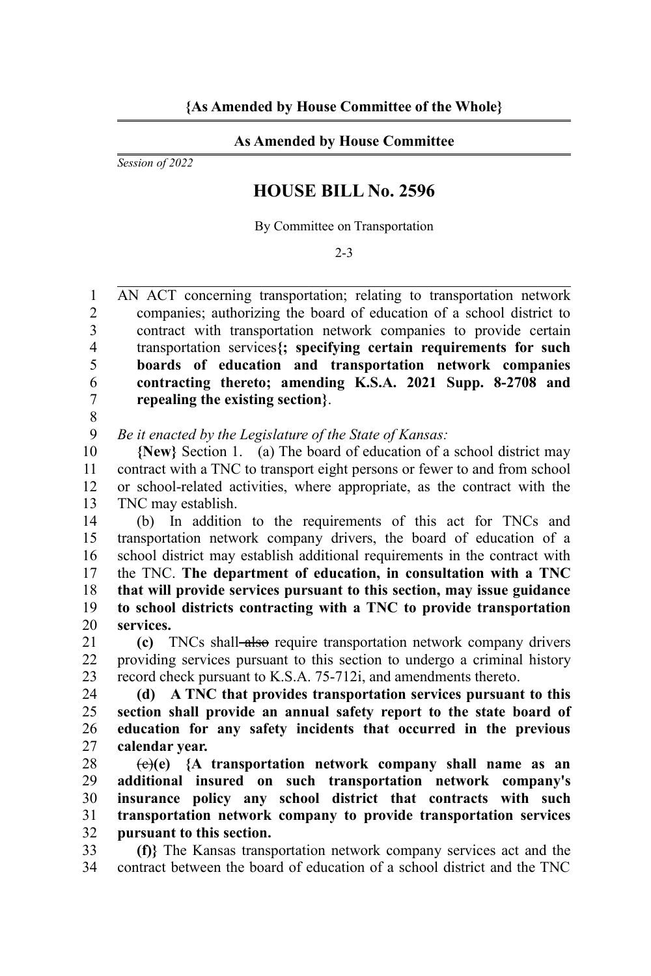## **As Amended by House Committee**

*Session of 2022*

## **HOUSE BILL No. 2596**

By Committee on Transportation

2-3

AN ACT concerning transportation; relating to transportation network companies; authorizing the board of education of a school district to contract with transportation network companies to provide certain transportation services**{; specifying certain requirements for such boards of education and transportation network companies contracting thereto; amending K.S.A. 2021 Supp. 8-2708 and repealing the existing section}**. 1  $\mathfrak{D}$ 3 4 5 6 7

8

*Be it enacted by the Legislature of the State of Kansas:* 9

**{New}** Section 1. (a) The board of education of a school district may contract with a TNC to transport eight persons or fewer to and from school or school-related activities, where appropriate, as the contract with the TNC may establish. 10 11 12 13

(b) In addition to the requirements of this act for TNCs and transportation network company drivers, the board of education of a school district may establish additional requirements in the contract with the TNC. **The department of education, in consultation with a TNC that will provide services pursuant to this section, may issue guidance to school districts contracting with a TNC to provide transportation services.** 14 15 16 17 18 19 20

**(c)** TNCs shall also require transportation network company drivers providing services pursuant to this section to undergo a criminal history record check pursuant to K.S.A. 75-712i, and amendments thereto. 21 22 23

**(d) A TNC that provides transportation services pursuant to this section shall provide an annual safety report to the state board of education for any safety incidents that occurred in the previous calendar year.** 24 25 26 27

(c)**(e) {A transportation network company shall name as an additional insured on such transportation network company's insurance policy any school district that contracts with such transportation network company to provide transportation services pursuant to this section.** 28 29 30 31 32

**(f)}** The Kansas transportation network company services act and the contract between the board of education of a school district and the TNC 33 34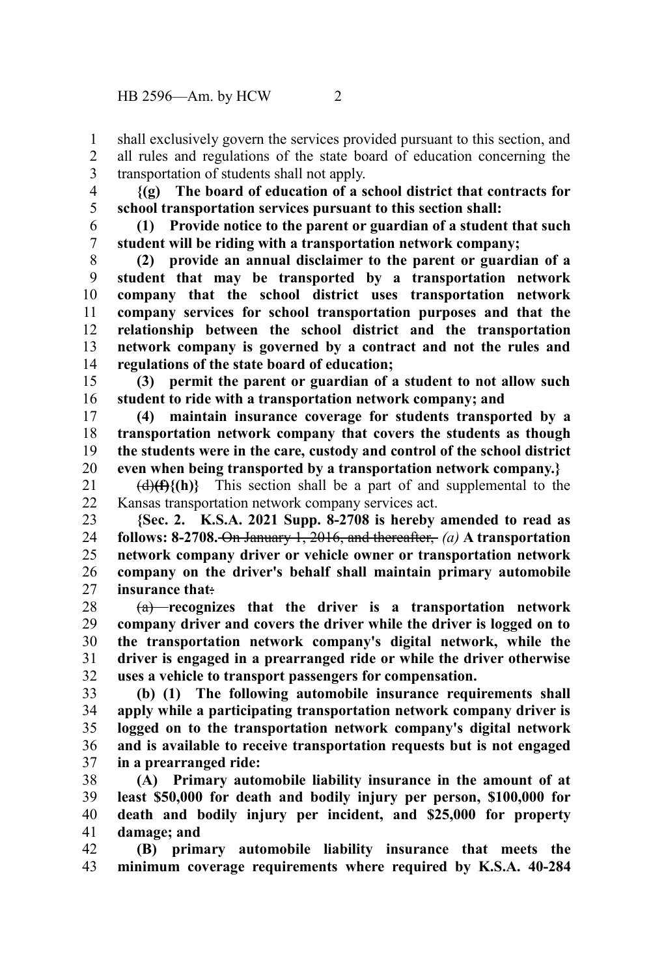- shall exclusively govern the services provided pursuant to this section, and all rules and regulations of the state board of education concerning the transportation of students shall not apply. 1 2 3
- **{(g) The board of education of a school district that contracts for school transportation services pursuant to this section shall:** 4 5
- **(1) Provide notice to the parent or guardian of a student that such student will be riding with a transportation network company;** 6 7

**(2) provide an annual disclaimer to the parent or guardian of a student that may be transported by a transportation network company that the school district uses transportation network company services for school transportation purposes and that the relationship between the school district and the transportation network company is governed by a contract and not the rules and regulations of the state board of education;** 8 9 10 11 12 13 14

**(3) permit the parent or guardian of a student to not allow such student to ride with a transportation network company; and** 15 16

**(4) maintain insurance coverage for students transported by a transportation network company that covers the students as though the students were in the care, custody and control of the school district even when being transported by a transportation network company.}** 17 18 19 20

 $\left(\frac{d}{f}\right)$  (h)} This section shall be a part of and supplemental to the Kansas transportation network company services act. 21 22

**{Sec. 2. K.S.A. 2021 Supp. 8-2708 is hereby amended to read as follows: 8-2708.** On January 1, 2016, and thereafter, *(a)* **A transportation network company driver or vehicle owner or transportation network company on the driver's behalf shall maintain primary automobile insurance that**: 23 24 25 26 27

(a) **recognizes that the driver is a transportation network company driver and covers the driver while the driver is logged on to the transportation network company's digital network, while the driver is engaged in a prearranged ride or while the driver otherwise uses a vehicle to transport passengers for compensation.** 28 29 30 31 32

**(b) (1) The following automobile insurance requirements shall apply while a participating transportation network company driver is logged on to the transportation network company's digital network and is available to receive transportation requests but is not engaged in a prearranged ride:** 33 34 35 36 37

**(A) Primary automobile liability insurance in the amount of at least \$50,000 for death and bodily injury per person, \$100,000 for death and bodily injury per incident, and \$25,000 for property damage; and** 38 39 40 41

**(B) primary automobile liability insurance that meets the minimum coverage requirements where required by K.S.A. 40-284** 42 43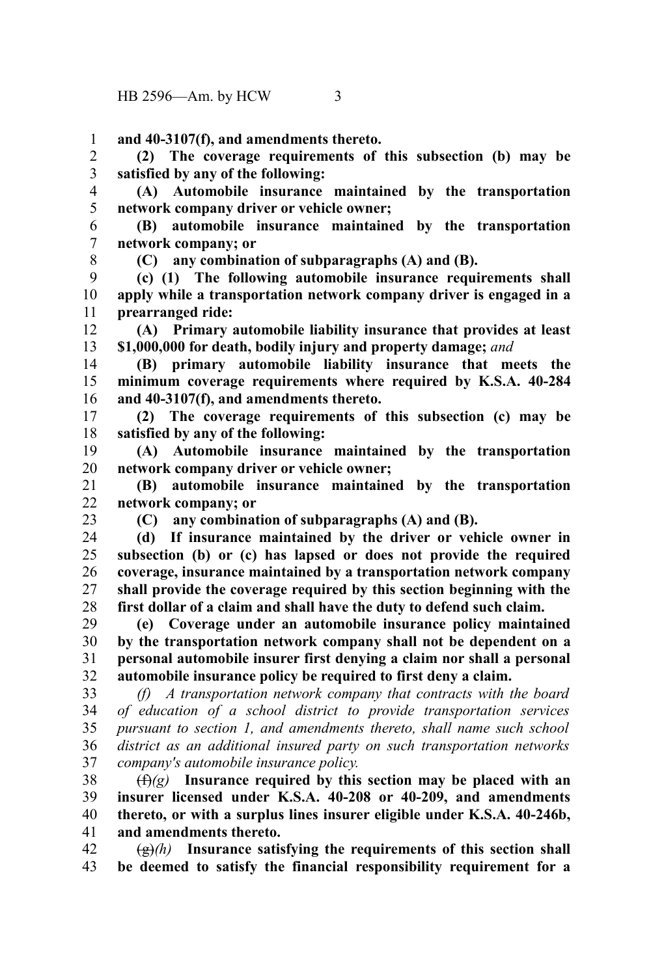**and 40-3107(f), and amendments thereto.** 1

**(2) The coverage requirements of this subsection (b) may be satisfied by any of the following:** 2 3

**(A) Automobile insurance maintained by the transportation network company driver or vehicle owner;** 4 5

**(B) automobile insurance maintained by the transportation network company; or** 6 7

8

**(C) any combination of subparagraphs (A) and (B).**

**(c) (1) The following automobile insurance requirements shall apply while a transportation network company driver is engaged in a prearranged ride:** 9 10 11

**(A) Primary automobile liability insurance that provides at least \$1,000,000 for death, bodily injury and property damage;** *and* 12 13

**(B) primary automobile liability insurance that meets the minimum coverage requirements where required by K.S.A. 40-284 and 40-3107(f), and amendments thereto.** 14 15 16

**(2) The coverage requirements of this subsection (c) may be satisfied by any of the following:** 17 18

**(A) Automobile insurance maintained by the transportation network company driver or vehicle owner;** 19 20

**(B) automobile insurance maintained by the transportation network company; or** 21  $22$ 

23

**(C) any combination of subparagraphs (A) and (B).**

**(d) If insurance maintained by the driver or vehicle owner in subsection (b) or (c) has lapsed or does not provide the required coverage, insurance maintained by a transportation network company shall provide the coverage required by this section beginning with the first dollar of a claim and shall have the duty to defend such claim.** 24 25 26 27 28

**(e) Coverage under an automobile insurance policy maintained by the transportation network company shall not be dependent on a personal automobile insurer first denying a claim nor shall a personal automobile insurance policy be required to first deny a claim.** 29 30 31 32

*(f) A transportation network company that contracts with the board of education of a school district to provide transportation services pursuant to section 1, and amendments thereto, shall name such school district as an additional insured party on such transportation networks company's automobile insurance policy.* 33 34 35 36 37

(f)*(g)* **Insurance required by this section may be placed with an insurer licensed under K.S.A. 40-208 or 40-209, and amendments thereto, or with a surplus lines insurer eligible under K.S.A. 40-246b, and amendments thereto.** 38 39 40 41

 $\left(\frac{g}{g}\right)$  Insurance satisfying the requirements of this section shall **be deemed to satisfy the financial responsibility requirement for a** 42 43